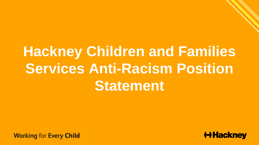## **Hackney Children and Families Services Anti-Racism Position Statement**

**Working for Every Child** 

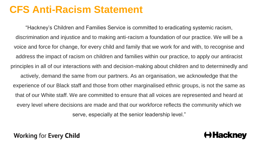## **CFS Anti-Racism Statement**

"Hackney's Children and Families Service is committed to eradicating systemic racism, discrimination and injustice and to making anti-racism a foundation of our practice. We will be a voice and force for change, for every child and family that we work for and with, to recognise and address the impact of racism on children and families within our practice, to apply our antiracist principles in all of our interactions with and decision-making about children and to determinedly and actively, demand the same from our partners. As an organisation, we acknowledge that the experience of our Black staff and those from other marginalised ethnic groups, is not the same as that of our White staff. We are committed to ensure that all voices are represented and heard at every level where decisions are made and that our workforce reflects the community which we serve, especially at the senior leadership level."

**Working for Every Child**